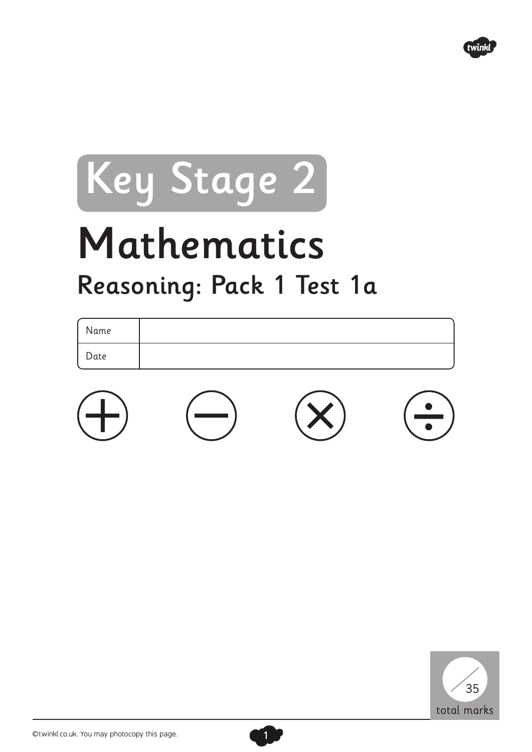

## Key Stage 2

## Mathematics Reasoning: Pack 1 Test 1a

| Name |  |  |
|------|--|--|
| Date |  |  |
|      |  |  |



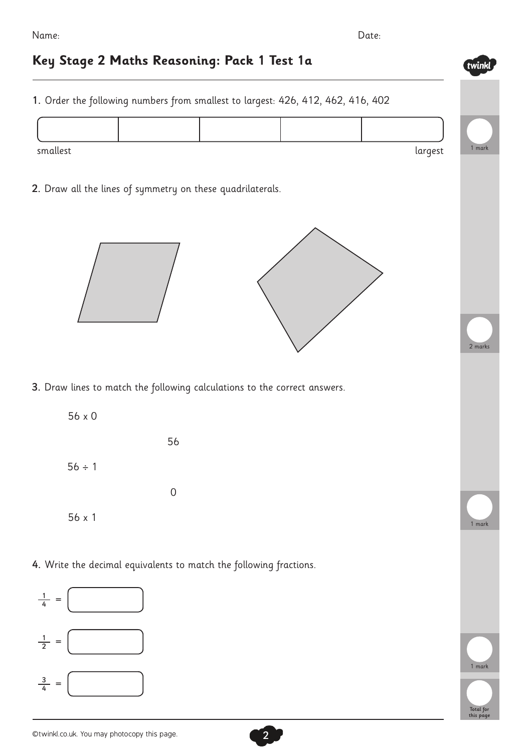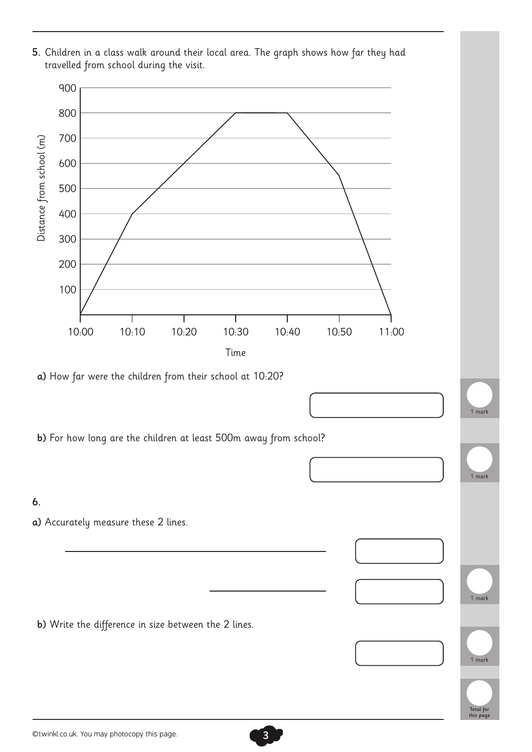

©twinkl.co.uk. You may photocopy this page.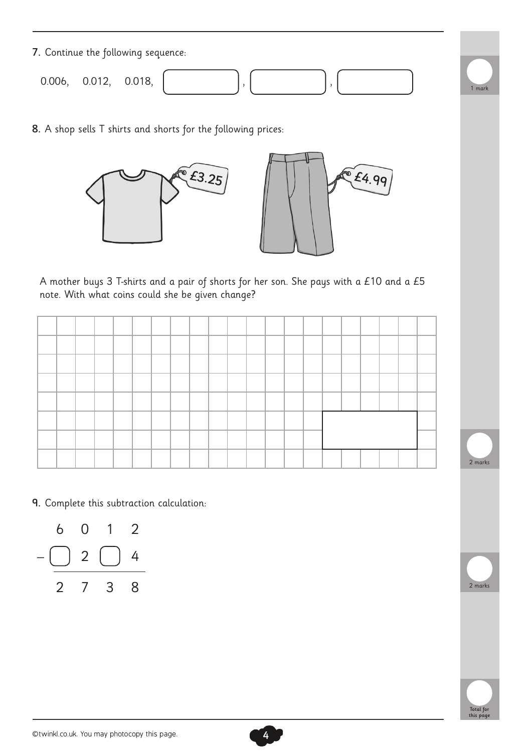| 7. Continue the following sequence: |               |  |      |
|-------------------------------------|---------------|--|------|
| 0.006,                              | 0.012, 0.018, |  | mark |

8. A shop sells T shirts and shorts for the following prices:





A mother buys 3 T-shirts and a pair of shorts for her son. She pays with a £10 and a £5 note. With what coins could she be given change?







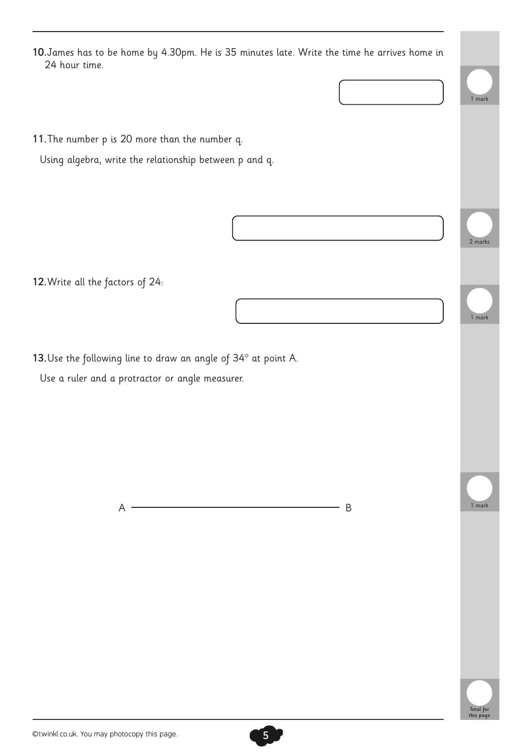11.The number p is 20 more than the number q.

Using algebra, write the relationship between p and q.

12.Write all the factors of 24:

13. Use the following line to draw an angle of 34° at point A.

Use a ruler and a protractor or angle measurer.

 $A \xrightarrow{ } B$ 

1 mark

2 marks

1 mark

1 mark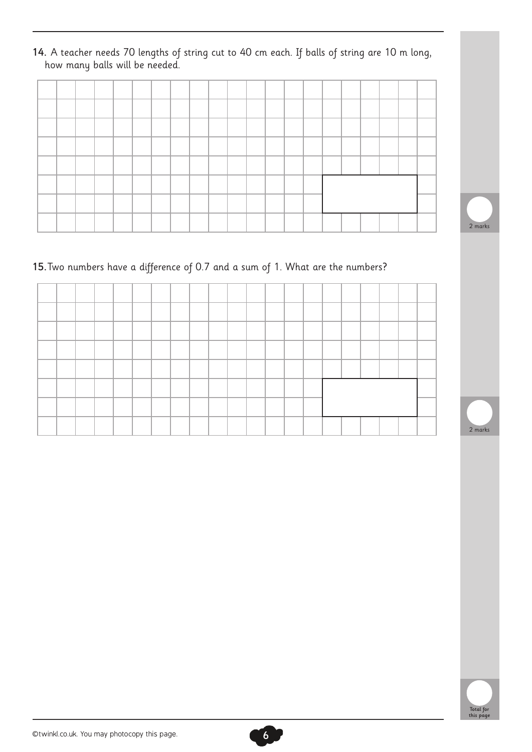14. A teacher needs 70 lengths of string cut to 40 cm each. If balls of string are 10 m long, how many balls will be needed.



## 15.Two numbers have a difference of 0.7 and a sum of 1. What are the numbers?





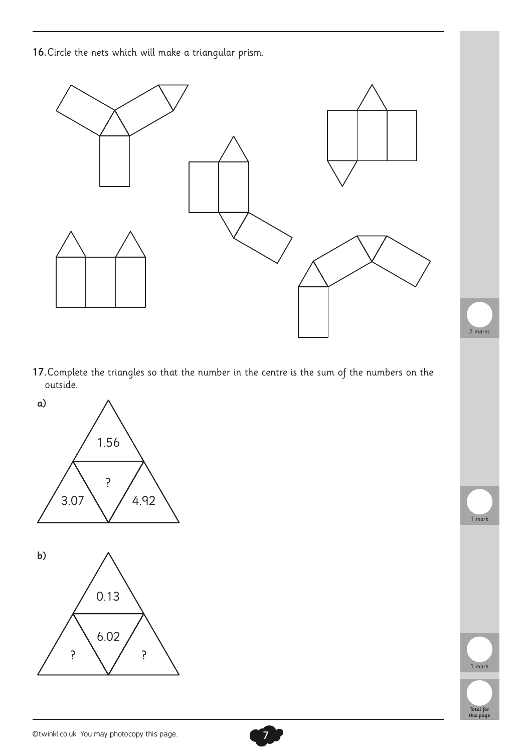16.Circle the nets which will make a triangular prism.



17.Complete the triangles so that the number in the centre is the sum of the numbers on the outside.





1 mark

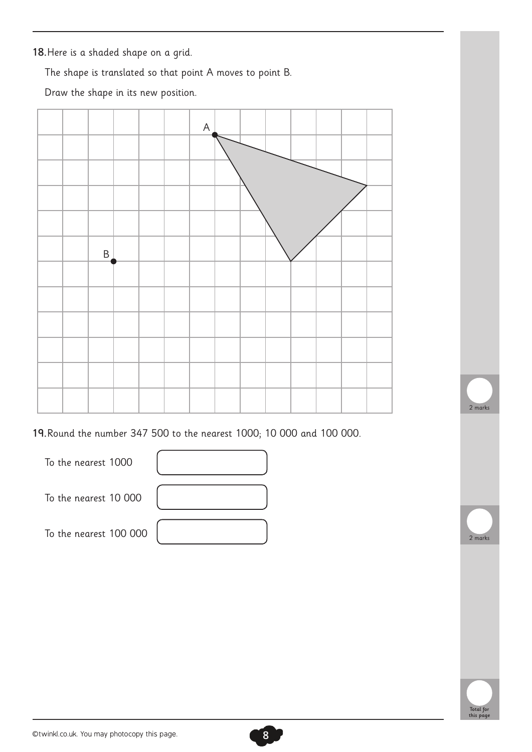18.Here is a shaded shape on a grid.

The shape is translated so that point A moves to point B.

Draw the shape in its new position.



19.Round the number 347 500 to the nearest 1000; 10 000 and 100 000.





2 marks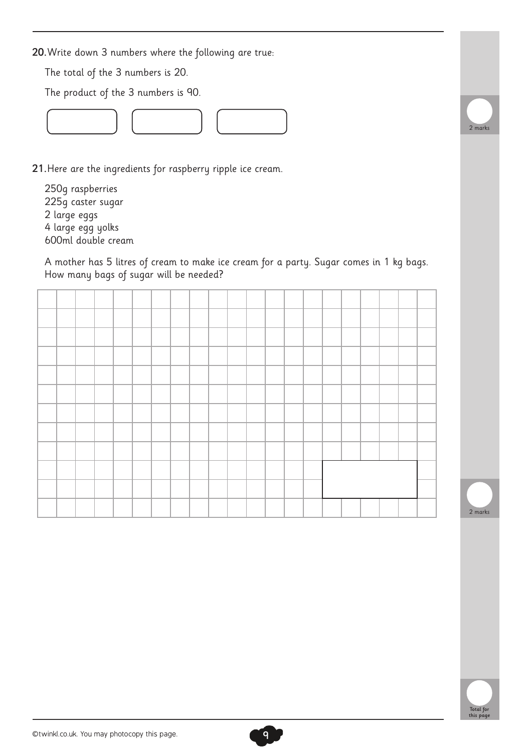20.Write down 3 numbers where the following are true:

The total of the 3 numbers is 20.

The product of the 3 numbers is 90.



21.Here are the ingredients for raspberry ripple ice cream.

250g raspberries 225g caster sugar 2 large eggs 4 large egg yolks 600ml double cream

A mother has 5 litres of cream to make ice cream for a party. Sugar comes in 1 kg bags. How many bags of sugar will be needed?





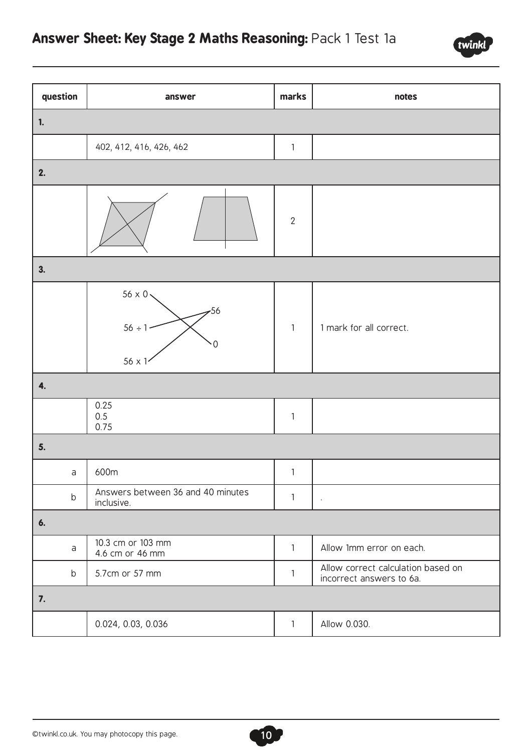

| question    | answer                                                      | marks        | notes                                                          |
|-------------|-------------------------------------------------------------|--------------|----------------------------------------------------------------|
| 1.          |                                                             |              |                                                                |
|             | 402, 412, 416, 426, 462                                     | $\mathbf{1}$ |                                                                |
| 2.          |                                                             |              |                                                                |
|             |                                                             | $\sqrt{2}$   |                                                                |
| 3.          |                                                             |              |                                                                |
|             | $56 \times 0$<br>$-56$<br>$56 \div 1$<br>0<br>$56 \times 1$ | $\mathbf{1}$ | 1 mark for all correct.                                        |
| 4.          |                                                             |              |                                                                |
|             | 0.25<br>0.5<br>0.75                                         | $\mathbf{1}$ |                                                                |
| 5.          |                                                             |              |                                                                |
| $\mathsf a$ | 600m                                                        | $\mathbf{1}$ |                                                                |
| $\sf b$     | Answers between 36 and 40 minutes<br>inclusive.             | $\mathbf{1}$ | $\bullet$                                                      |
| 6.          |                                                             |              |                                                                |
| $\mathsf a$ | 10.3 cm or 103 mm<br>4.6 cm or 46 mm                        | $\mathbf{1}$ | Allow 1mm error on each.                                       |
| b           | 5.7cm or 57 mm                                              | $\mathbf{1}$ | Allow correct calculation based on<br>incorrect answers to 6a. |
| 7.          |                                                             |              |                                                                |
|             | 0.024, 0.03, 0.036                                          | $\mathbf{1}$ | Allow 0.030.                                                   |

10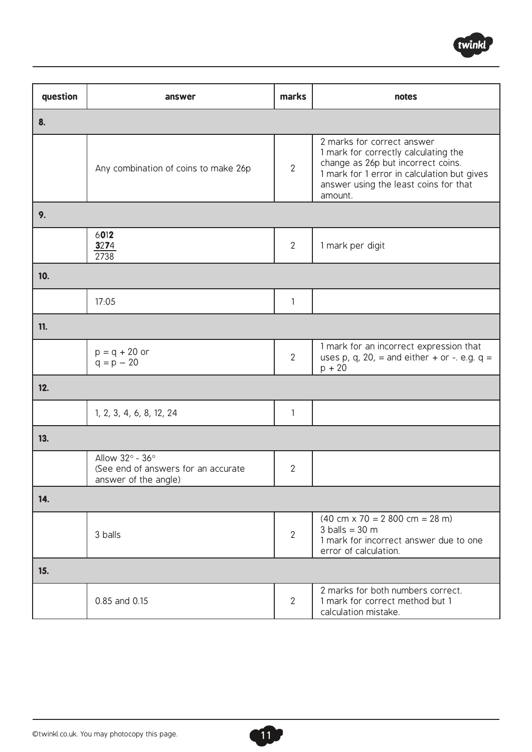

| question   | answer                                                                         | marks          | notes                                                                                                                                                                                                       |
|------------|--------------------------------------------------------------------------------|----------------|-------------------------------------------------------------------------------------------------------------------------------------------------------------------------------------------------------------|
| 8.         |                                                                                |                |                                                                                                                                                                                                             |
|            | Any combination of coins to make 26p                                           | $\overline{2}$ | 2 marks for correct answer<br>1 mark for correctly calculating the<br>change as 26p but incorrect coins.<br>1 mark for 1 error in calculation but gives<br>answer using the least coins for that<br>amount. |
| 9.         |                                                                                |                |                                                                                                                                                                                                             |
|            | 6012<br>3274<br>2738                                                           | $\overline{2}$ | 1 mark per digit                                                                                                                                                                                            |
| 10.        |                                                                                |                |                                                                                                                                                                                                             |
|            | 17:05                                                                          | 1              |                                                                                                                                                                                                             |
| <b>11.</b> |                                                                                |                |                                                                                                                                                                                                             |
|            | $p = q + 20$ or<br>$q = p - 20$                                                | $\overline{2}$ | 1 mark for an incorrect expression that<br>uses p, q, 20, = and either + or -. e.g. $q =$<br>$p + 20$                                                                                                       |
| 12.        |                                                                                |                |                                                                                                                                                                                                             |
|            | 1, 2, 3, 4, 6, 8, 12, 24                                                       | 1              |                                                                                                                                                                                                             |
| 13.        |                                                                                |                |                                                                                                                                                                                                             |
|            | Allow 32° - 36°<br>(See end of answers for an accurate<br>answer of the angle) | $\overline{2}$ |                                                                                                                                                                                                             |
| 14.        |                                                                                |                |                                                                                                                                                                                                             |
|            | 3 balls                                                                        | $\overline{2}$ | $(40 \text{ cm} \times 70 = 2800 \text{ cm} = 28 \text{ m})$<br>$3$ balls = $30$ m<br>1 mark for incorrect answer due to one<br>error of calculation.                                                       |
| 15.        |                                                                                |                |                                                                                                                                                                                                             |
|            | 0.85 and 0.15                                                                  | $\overline{2}$ | 2 marks for both numbers correct.<br>1 mark for correct method but 1<br>calculation mistake.                                                                                                                |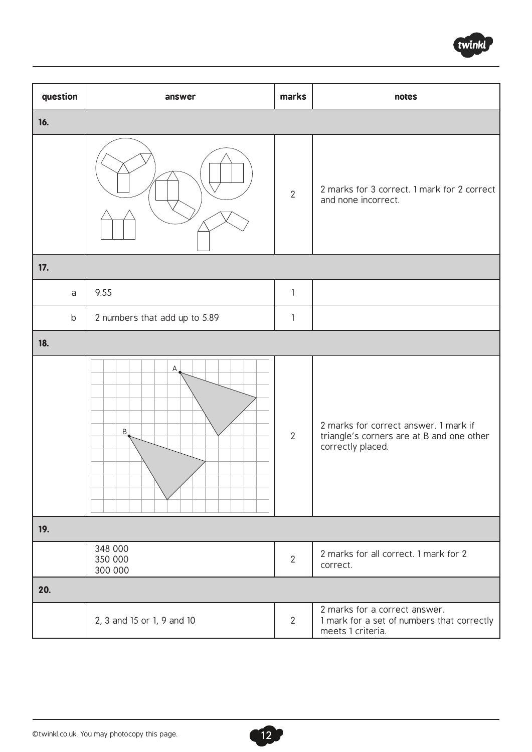

| question | answer                        | marks          | notes                                                                                                   |
|----------|-------------------------------|----------------|---------------------------------------------------------------------------------------------------------|
| 16.      |                               |                |                                                                                                         |
|          |                               | $\overline{2}$ | 2 marks for 3 correct. 1 mark for 2 correct<br>and none incorrect.                                      |
| 17.      |                               |                |                                                                                                         |
| a        | 9.55                          | $\mathbf{1}$   |                                                                                                         |
| b        | 2 numbers that add up to 5.89 | $\mathbf{1}$   |                                                                                                         |
| 18.      |                               |                |                                                                                                         |
|          | А<br>B                        | $\overline{2}$ | 2 marks for correct answer. 1 mark if<br>triangle's corners are at B and one other<br>correctly placed. |
| 19.      |                               |                |                                                                                                         |
|          | 348 000<br>350 000<br>300 000 | $\overline{2}$ | 2 marks for all correct. 1 mark for 2<br>correct.                                                       |
| 20.      |                               |                |                                                                                                         |
|          | 2, 3 and 15 or 1, 9 and 10    | $\overline{2}$ | 2 marks for a correct answer.<br>1 mark for a set of numbers that correctly<br>meets 1 criteria.        |